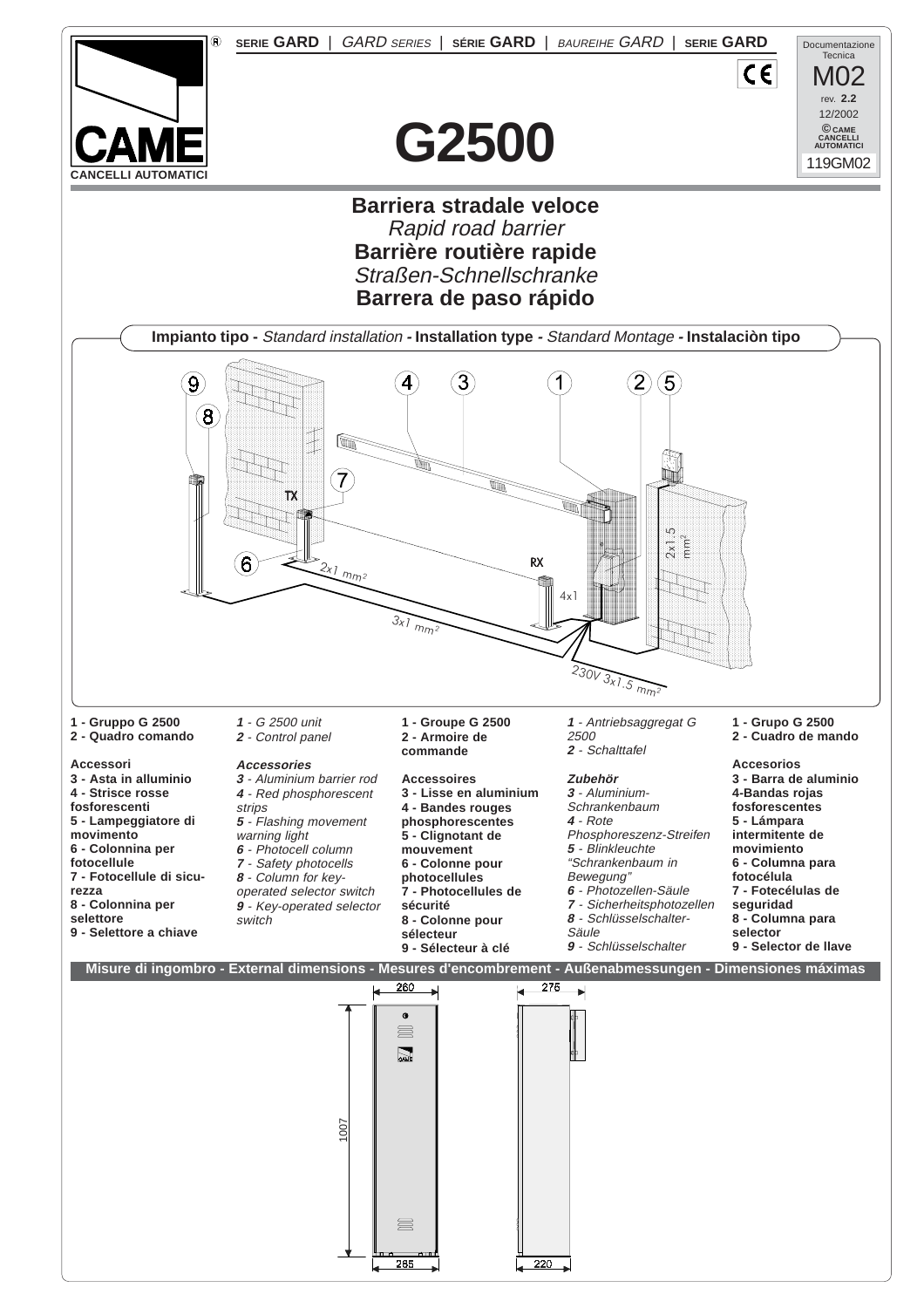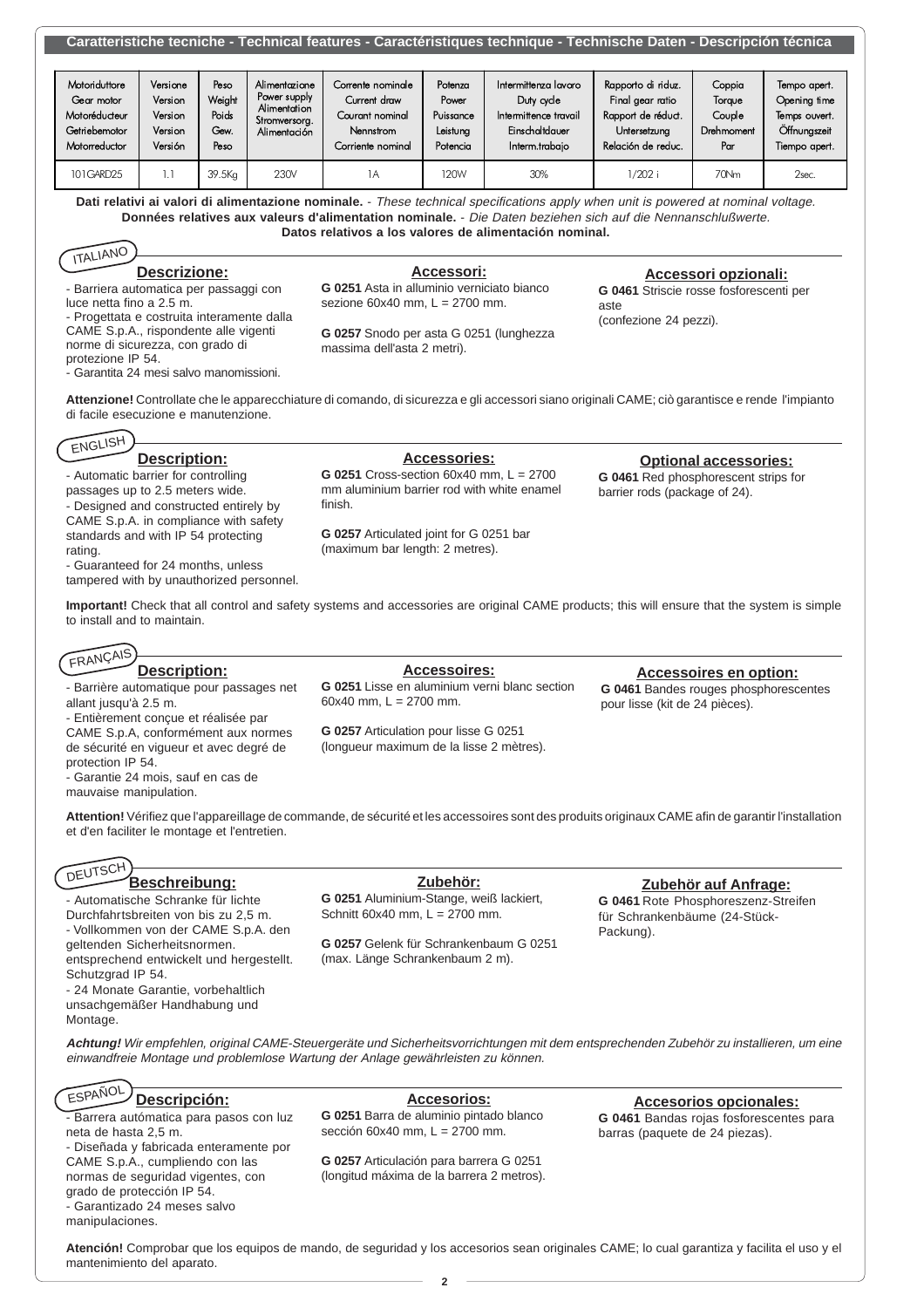| <u>Umanonono toomono Toomnoan louturoo Guruotononquoo toomnquo Toomnoono Buton Booonpolon toomou</u>                                                                                                                                                                                                                    |                                                      |                                         |                                                                                |                                                                                        |                                                       |                                                                                                 |                                                                                                    |                                                 |                                                                                |  |  |
|-------------------------------------------------------------------------------------------------------------------------------------------------------------------------------------------------------------------------------------------------------------------------------------------------------------------------|------------------------------------------------------|-----------------------------------------|--------------------------------------------------------------------------------|----------------------------------------------------------------------------------------|-------------------------------------------------------|-------------------------------------------------------------------------------------------------|----------------------------------------------------------------------------------------------------|-------------------------------------------------|--------------------------------------------------------------------------------|--|--|
|                                                                                                                                                                                                                                                                                                                         |                                                      |                                         |                                                                                |                                                                                        |                                                       |                                                                                                 |                                                                                                    |                                                 |                                                                                |  |  |
| Motoriduttore<br>Gear motor<br>Motoréducteur<br>Getriebemotor<br>Motorreductor                                                                                                                                                                                                                                          | Versione<br>Version<br>Version<br>Version<br>Versión | Peso<br>Weiaht<br>Poids<br>Gew.<br>Peso | Alimentazione<br>Power supply<br>Alimentation<br>Stromversorg.<br>Alimentación | Corrente nominale<br>Current draw<br>Courant nominal<br>Nennstrom<br>Corriente nominal | Potenza<br>Power<br>Puissance<br>Leistung<br>Potencia | Intermittenza lavoro<br>Duty cycle<br>Intermittence travail<br>Einschaltdauer<br>Interm.trabajo | Rapporto di riduz.<br>Final gear ratio<br>Rapport de réduct.<br>Untersetzung<br>Relación de reduc. | Coppia<br>Torque<br>Couple<br>Drehmoment<br>Par | Tempo apert.<br>Opening time<br>Temps ouvert.<br>Öffnungszeit<br>Tiempo apert. |  |  |
| 101GARD25                                                                                                                                                                                                                                                                                                               | 1.1                                                  | 39.5Kg                                  | 230V                                                                           | 1A                                                                                     | 120W                                                  | 30%                                                                                             | $1/202$ i                                                                                          | 70Nm                                            | 2sec.                                                                          |  |  |
| Dati relativi ai valori di alimentazione nominale. - These technical specifications apply when unit is powered at nominal voltage.<br>Données relatives aux valeurs d'alimentation nominale. - Die Daten beziehen sich auf die Nennanschlußwerte.<br>Datos relativos a los valores de alimentación nominal.<br>ITALIANO |                                                      |                                         |                                                                                |                                                                                        |                                                       |                                                                                                 |                                                                                                    |                                                 |                                                                                |  |  |

**Caratteristiche tecniche - Technical features - Caractéristiques technique - Technische Daten - Descripción técnica**

### **Descrizione:**

- Barriera automatica per passaggi con luce netta fino a 2.5 m.

- Progettata e costruita interamente dalla CAME S.p.A., rispondente alle vigenti norme di sicurezza, con grado di

protezione IP 54.

- Garantita 24 mesi salvo manomissioni.

**Accessori:**

**G 0251** Asta in alluminio verniciato bianco sezione  $60x40$  mm,  $L = 2700$  mm.

**G 0257** Snodo per asta G 0251 (lunghezza massima dell'asta 2 metri).

**Accessori opzionali: G 0461** Striscie rosse fosforescenti per

aste (confezione 24 pezzi).

**Attenzione!** Controllate che le apparecchiature di comando, di sicurezza e gli accessori siano originali CAME; ciò garantisce e rende l'impianto di facile esecuzione e manutenzione.

## ENGLISH

#### **Description:** - Automatic barrier for controlling

passages up to 2.5 meters wide.

- Designed and constructed entirely by CAME S.p.A. in compliance with safety standards and with IP 54 protecting rating.

- Guaranteed for 24 months, unless tampered with by unauthorized personnel.

**Accessories: G 0251** Cross-section 60x40 mm, L = 2700 mm aluminium barrier rod with white enamel

**G 0257** Articulated joint for G 0251 bar (maximum bar length: 2 metres).

finish.

# **Optional accessories:**

**G 0461** Red phosphorescent strips for barrier rods (package of 24).

**Important!** Check that all control and safety systems and accessories are original CAME products; this will ensure that the system is simple to install and to maintain.

#### **Accessoires: G 0251** Lisse en aluminium verni blanc section 60x40 mm,  $L = 2700$  mm. **G 0257** Articulation pour lisse G 0251 (longueur maximum de la lisse 2 mètres). **Description:** - Barrière automatique pour passages net allant jusqu'à 2.5 m. - Entièrement conçue et réalisée par CAME S.p.A, conformément aux normes de sécurité en vigueur et avec degré de **Accessoires en option: G 0461** Bandes rouges phosphorescentes pour lisse (kit de 24 pièces). FRANÇAIS

**Attention!** Vérifiez que l'appareillage de commande, de sécurité et les accessoires sont des produits originaux CAME afin de garantir l'installation et d'en faciliter le montage et l'entretien.

#### **Beschreibung: DEUTSCH**

- Garantie 24 mois, sauf en cas de

protection IP 54.

mauvaise manipulation.

- Automatische Schranke für lichte Durchfahrtsbreiten von bis zu 2,5 m. - Vollkommen von der CAME S.p.A. den geltenden Sicherheitsnormen. entsprechend entwickelt und hergestellt.

Schutzgrad IP 54. - 24 Monate Garantie, vorbehaltlich

unsachgemäßer Handhabung und Montage.

**Zubehör:**

**G 0251** Aluminium-Stange, weiß lackiert, Schnitt 60x40 mm,  $L = 2700$  mm.

**G 0257** Gelenk für Schrankenbaum G 0251 (max. Länge Schrankenbaum 2 m).

**Zubehör auf Anfrage: G 0461** Rote Phosphoreszenz-Streifen

für Schrankenbäume (24-Stück-Packung).

**Achtung!** Wir empfehlen, original CAME-Steuergeräte und Sicherheitsvorrichtungen mit dem entsprechenden Zubehör zu installieren, um eine einwandfreie Montage und problemlose Wartung der Anlage gewährleisten zu können.

> **Accesorios: G 0251** Barra de aluminio pintado blanco sección 60x40 mm, L = 2700 mm.

#### **Descripción:** ESPAÑOL

- Barrera autómatica para pasos con luz neta de hasta 2,5 m.

- Diseñada y fabricada enteramente por CAME S.p.A., cumpliendo con las normas de seguridad vigentes, con grado de protección IP 54. - Garantizado 24 meses salvo

manipulaciones.

**G 0257** Articulación para barrera G 0251 (longitud máxima de la barrera 2 metros).

**Accesorios opcionales: G 0461** Bandas rojas fosforescentes para barras (paquete de 24 piezas).

**Atención!** Comprobar que los equipos de mando, de seguridad y los accesorios sean originales CAME; lo cual garantiza y facilita el uso y el mantenimiento del aparato.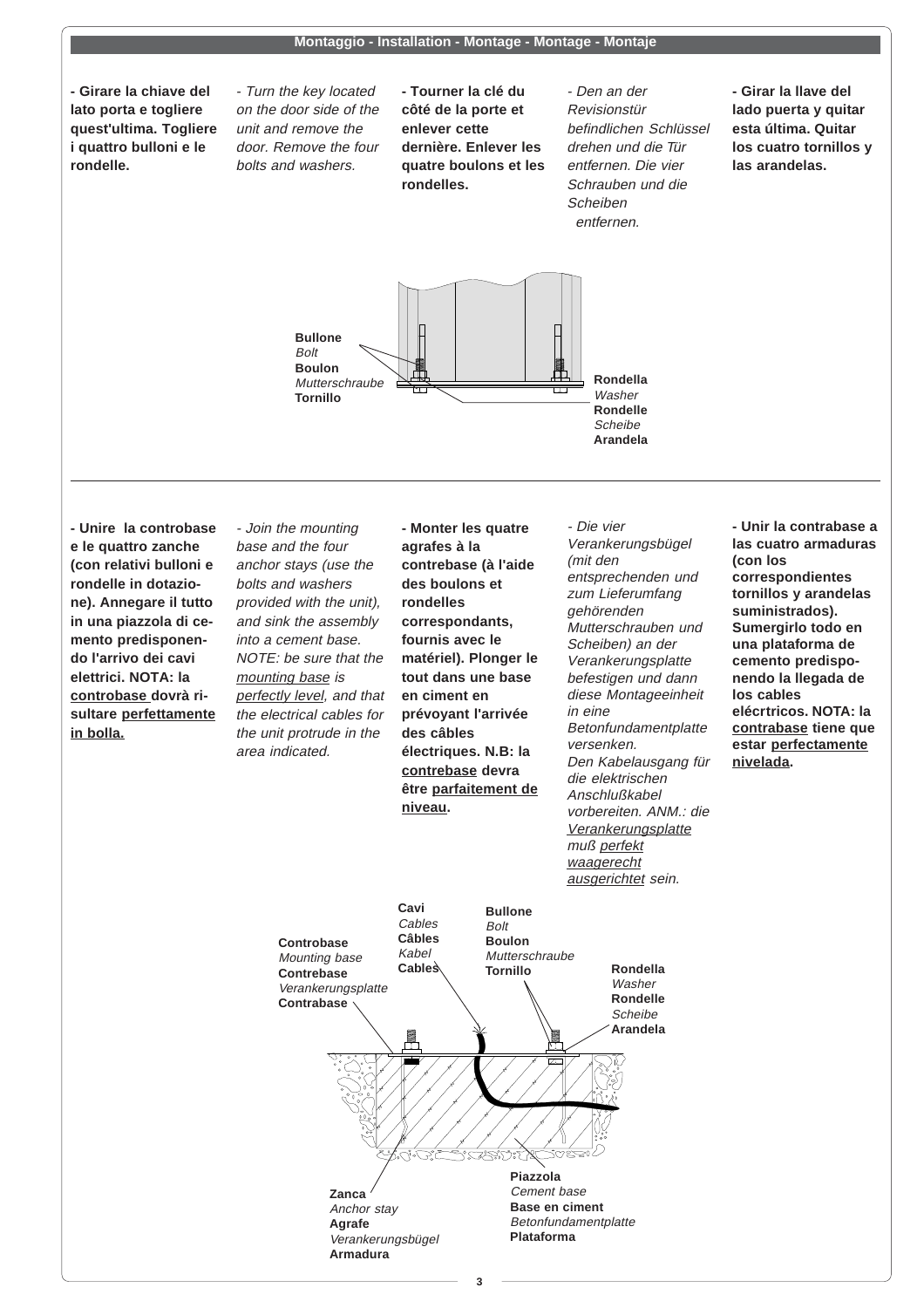#### **Montaggio - Installation - Montage - Montage - Montaje**

**- Girare la chiave del lato porta e togliere quest'ultima. Togliere i quattro bulloni e le rondelle.**

- Turn the key located on the door side of the unit and remove the door. Remove the four bolts and washers.

**- Tourner la clé du côté de la porte et enlever cette dernière. Enlever les quatre boulons et les rondelles.**

- Den an der Revisionstür befindlichen Schlüssel drehen und die Tür entfernen. Die vier Schrauben und die **Scheiben** entfernen.

**- Girar la llave del lado puerta y quitar esta última. Quitar los cuatro tornillos y las arandelas.**



**- Unire la controbase e le quattro zanche (con relativi bulloni e rondelle in dotazione). Annegare il tutto in una piazzola di cemento predisponendo l'arrivo dei cavi elettrici. NOTA: la controbase dovrà risultare perfettamente in bolla.**

- Join the mounting base and the four anchor stays (use the bolts and washers provided with the unit), and sink the assembly into a cement base. NOTE: be sure that the mounting base is perfectly level, and that the electrical cables for the unit protrude in the area indicated.

**- Monter les quatre agrafes à la contrebase (à l'aide des boulons et rondelles correspondants, fournis avec le matériel). Plonger le tout dans une base en ciment en prévoyant l'arrivée des câbles électriques. N.B: la contrebase devra être parfaitement de niveau.**

- Die vier Verankerungsbügel (mit den entsprechenden und zum Lieferumfang gehörenden Mutterschrauben und Scheiben) an der Verankerungsplatte befestigen und dann diese Montageeinheit in eine Betonfundamentplatte versenken. Den Kabelausgang für die elektrischen Anschlußkabel vorbereiten. ANM.: die **Verankerungsplatte** muß perfekt waagerecht ausgerichtet sein.

**- Unir la contrabase a las cuatro armaduras (con los correspondientes tornillos y arandelas suministrados). Sumergirlo todo en una plataforma de cemento predisponendo la llegada de los cables elécrtricos. NOTA: la contrabase tiene que estar perfectamente nivelada.**



**3**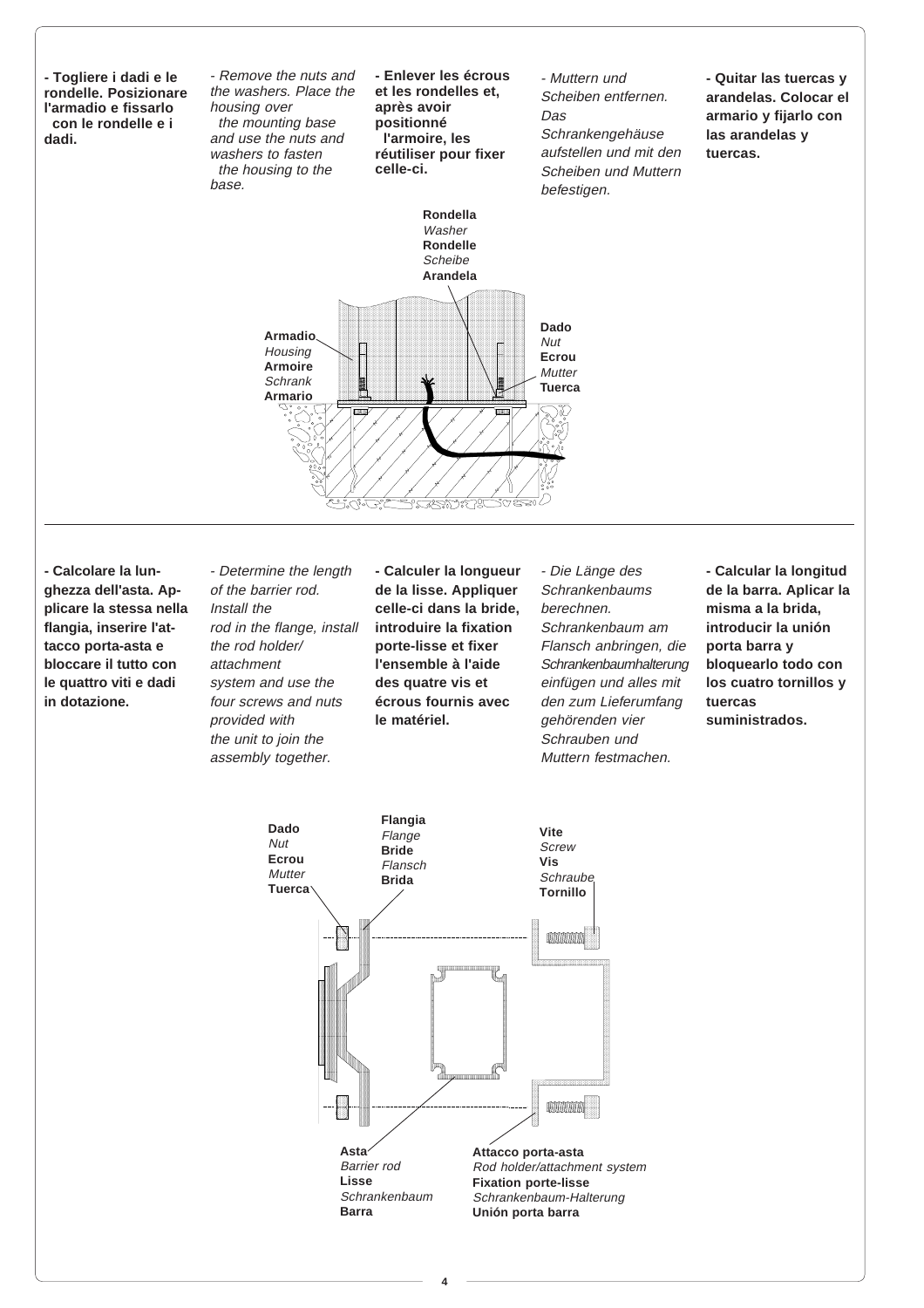

**- Calcolare la lunghezza dell'asta. Applicare la stessa nella flangia, inserire l'attacco porta-asta e bloccare il tutto con le quattro viti e dadi in dotazione.**

- Determine the length of the barrier rod. Install the rod in the flange, install the rod holder/ attachment system and use the four screws and nuts provided with the unit to join the assembly together.

**- Calculer la longueur de la lisse. Appliquer celle-ci dans la bride, introduire la fixation porte-lisse et fixer l'ensemble à l'aide des quatre vis et écrous fournis avec le matériel.**

- Die Länge des Schrankenbaums berechnen. Schrankenbaum am Flansch anbringen, die Schrankenbaumhalterung einfügen und alles mit den zum Lieferumfang gehörenden vier Schrauben und Muttern festmachen.

**- Calcular la longitud de la barra. Aplicar la misma a la brida, introducir la unión porta barra y bloquearlo todo con los cuatro tornillos y tuercas suministrados.**



**4**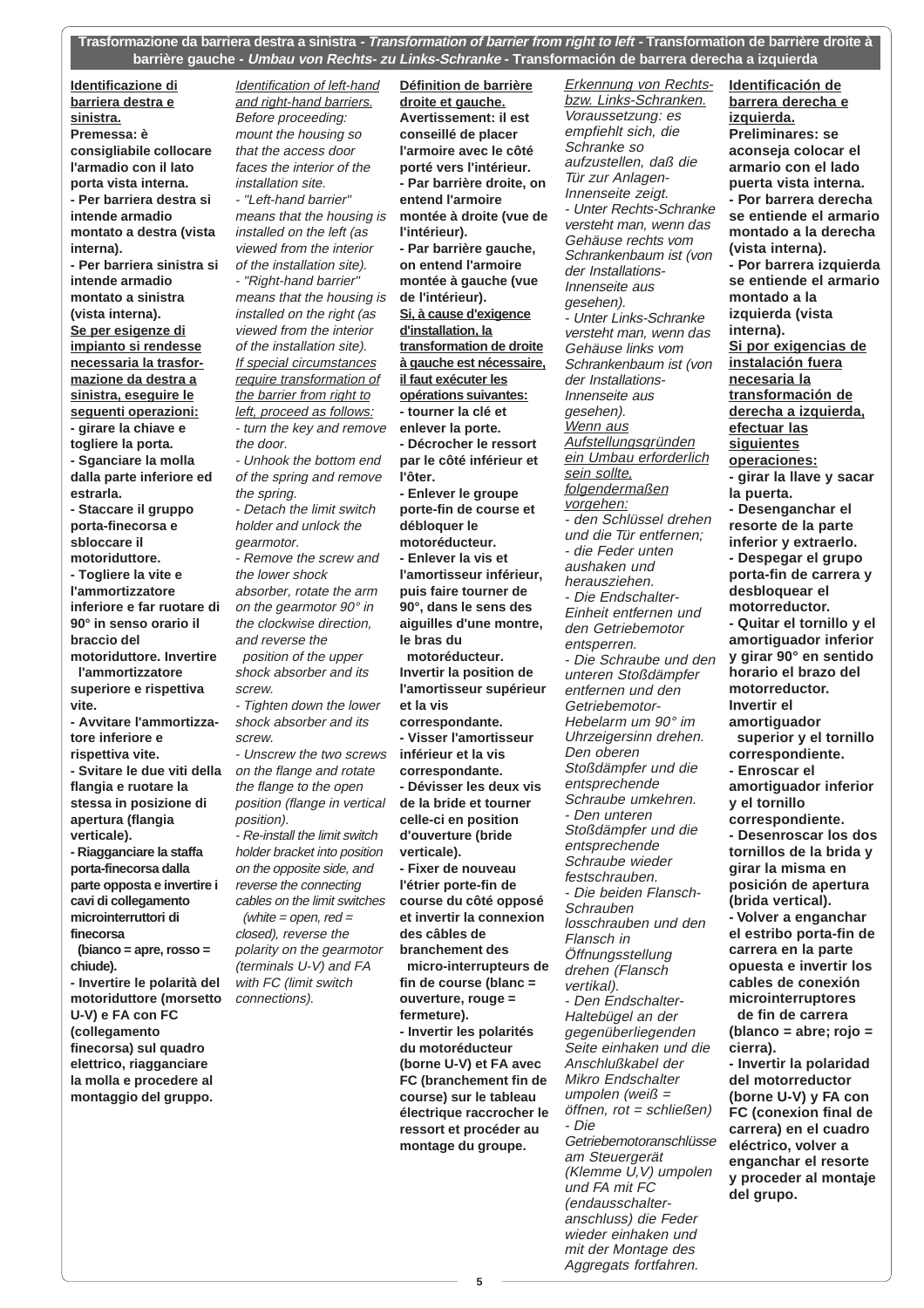**Trasformazione da barriera destra a sinistra - Transformation of barrier from right to left - Transformation de barrière droite à barrière gauche - Umbau von Rechts- zu Links-Schranke - Transformación de barrera derecha a izquierda**

> **Définition de barrière droite et gauche.**

**Identificazione di barriera destra e sinistra. Premessa: è consigliabile collocare l'armadio con il lato porta vista interna. - Per barriera destra si intende armadio montato a destra (vista interna). - Per barriera sinistra si intende armadio montato a sinistra (vista interna). Se per esigenze di impianto si rendesse necessaria la trasformazione da destra a sinistra, eseguire le seguenti operazioni: - girare la chiave e togliere la porta. - Sganciare la molla dalla parte inferiore ed estrarla. - Staccare il gruppo porta-finecorsa e sbloccare il**

**motoriduttore. - Togliere la vite e l'ammortizzatore inferiore e far ruotare di 90° in senso orario il braccio del motoriduttore. Invertire**

 **l'ammortizzatore superiore e rispettiva vite.**

**- Avvitare l'ammortizzatore inferiore e rispettiva vite.**

**- Svitare le due viti della flangia e ruotare la stessa in posizione di apertura (flangia verticale).**

**- Riagganciare la staffa porta-finecorsa dalla parte opposta e invertire i cavi di collegamento microinterruttori di finecorsa**

 **(bianco = apre, rosso = chiude).**

**- Invertire le polarità del motoriduttore (morsetto U-V) e FA con FC (collegamento finecorsa) sul quadro elettrico, riagganciare la molla e procedere al montaggio del gruppo.**

Identification of left-hand and right-hand barriers. Before proceeding: mount the housing so that the access door faces the interior of the installation site. - "Left-hand barrier" means that the housing is

installed on the left (as viewed from the interior of the installation site). - "Right-hand barrier" means that the housing is installed on the right (as viewed from the interior of the installation site). If special circumstances require transformation of the barrier from right to left, proceed as follows: - turn the key and remove the door.

- Unhook the bottom end of the spring and remove the spring.

- Detach the limit switch holder and unlock the gearmotor. - Remove the screw and

the lower shock absorber, rotate the arm on the gearmotor 90° in the clockwise direction, and reverse the position of the upper

shock absorber and its screw.

- Tighten down the lower shock absorber and its screw.

- Unscrew the two screws on the flange and rotate the flange to the open position (flange in vertical position).

- Re-install the limit switch holder bracket into position on the opposite side, and reverse the connecting cables on the limit switches (white  $=$  open, red  $=$ closed), reverse the polarity on the gearmotor (terminals U-V) and FA with FC (limit switch connections).

**Avertissement: il est conseillé de placer l'armoire avec le côté porté vers l'intérieur. - Par barrière droite, on entend l'armoire montée à droite (vue de l'intérieur). - Par barrière gauche, on entend l'armoire montée à gauche (vue de l'intérieur). Si, à cause d'exigence d'installation, la transformation de droite à gauche est nécessaire, il faut exécuter les opérations suivantes: - tourner la clé et enlever la porte. - Décrocher le ressort par le côté inférieur et l'ôter. - Enlever le groupe porte-fin de course et débloquer le motoréducteur. - Enlever la vis et l'amortisseur inférieur, puis faire tourner de 90°, dans le sens des aiguilles d'une montre, le bras du motoréducteur. Invertir la position de l'amortisseur supérieur et la vis correspondante. - Visser l'amortisseur inférieur et la vis correspondante. - Dévisser les deux vis de la bride et tourner celle-ci en position d'ouverture (bride verticale). - Fixer de nouveau l'étrier porte-fin de course du côté opposé et invertir la connexion des câbles de branchement des micro-interrupteurs de fin de course (blanc = ouverture, rouge = fermeture). - Invertir les polarités du motoréducteur (borne U-V) et FA avec FC (branchement fin de course) sur le tableau**

Erkennung von Rechtsbzw. Links-Schranken. Voraussetzung: es empfiehlt sich, die Schranke so aufzustellen, daß die Tür zur Anlagen-Innenseite zeigt. - Unter Rechts-Schranke versteht man, wenn das Gehäuse rechts vom Schrankenbaum ist (von der Installations-Innenseite aus gesehen). - Unter Links-Schranke versteht man, wenn das Gehäuse links vom Schrankenbaum ist (von der Installations-Innenseite aus gesehen). Wenn aus Aufstellungsgründen ein Umbau erforderlich sein sollte, folgendermaßen vorgehen: - den Schlüssel drehen und die Tür entfernen; - die Feder unten aushaken und herausziehen. - Die Endschalter-Einheit entfernen und den Getriebemotor entsperren. - Die Schraube und den unteren Stoßdämpfer entfernen und den Getriebemotor-Hebelarm um 90° im Uhrzeigersinn drehen. Den oberen Stoßdämpfer und die entsprechende Schraube umkehren. - Den unteren Stoßdämpfer und die entsprechende Schraube wieder festschrauben. - Die beiden Flansch-**Schrauben** losschrauben und den Flansch in Öffnungsstellung drehen (Flansch vertikal). - Den Endschalter-Haltebügel an der gegenüberliegenden Seite einhaken und die Anschlußkabel der Mikro Endschalter umpolen (weiß = öffnen, rot = schließen) - Die Getriebemotoranschlüsse am Steuergerät (Klemme U,V) umpolen und FA mit FC (endausschalteranschluss) die Feder wieder einhaken und mit der Montage des Aggregats fortfahren.

**Identificación de barrera derecha e izquierda. Preliminares: se aconseja colocar el armario con el lado puerta vista interna. - Por barrera derecha se entiende el armario montado a la derecha (vista interna). - Por barrera izquierda se entiende el armario montado a la izquierda (vista interna). Si por exigencias de instalación fuera necesaria la transformación de derecha a izquierda, efectuar las siguientes operaciones: - girar la llave y sacar la puerta. - Desenganchar el resorte de la parte inferior y extraerlo. - Despegar el grupo porta-fin de carrera y desbloquear el motorreductor. - Quitar el tornillo y el amortiguador inferior y girar 90° en sentido horario el brazo del motorreductor. Invertir el amortiguador superior y el tornillo correspondiente. - Enroscar el amortiguador inferior y el tornillo correspondiente. - Desenroscar los dos tornillos de la brida y girar la misma en posición de apertura (brida vertical). - Volver a enganchar el estribo porta-fin de carrera en la parte opuesta e invertir los cables de conexión microinterruptores de fin de carrera (blanco = abre; rojo = cierra). - Invertir la polaridad del motorreductor (borne U-V) y FA con FC (conexion final de carrera) en el cuadro eléctrico, volver a enganchar el resorte y proceder al montaje del grupo.**

**électrique raccrocher le ressort et procéder au montage du groupe.**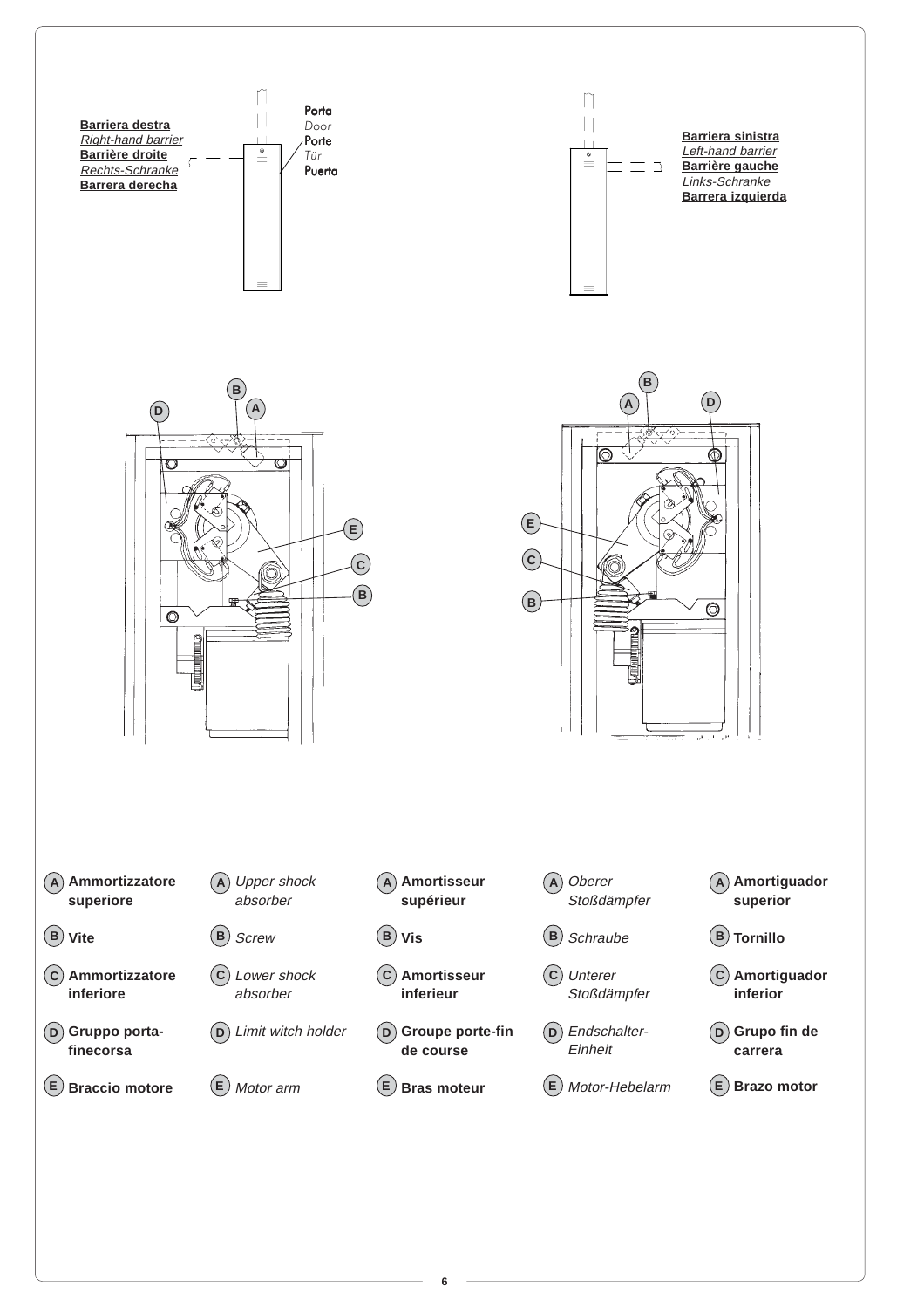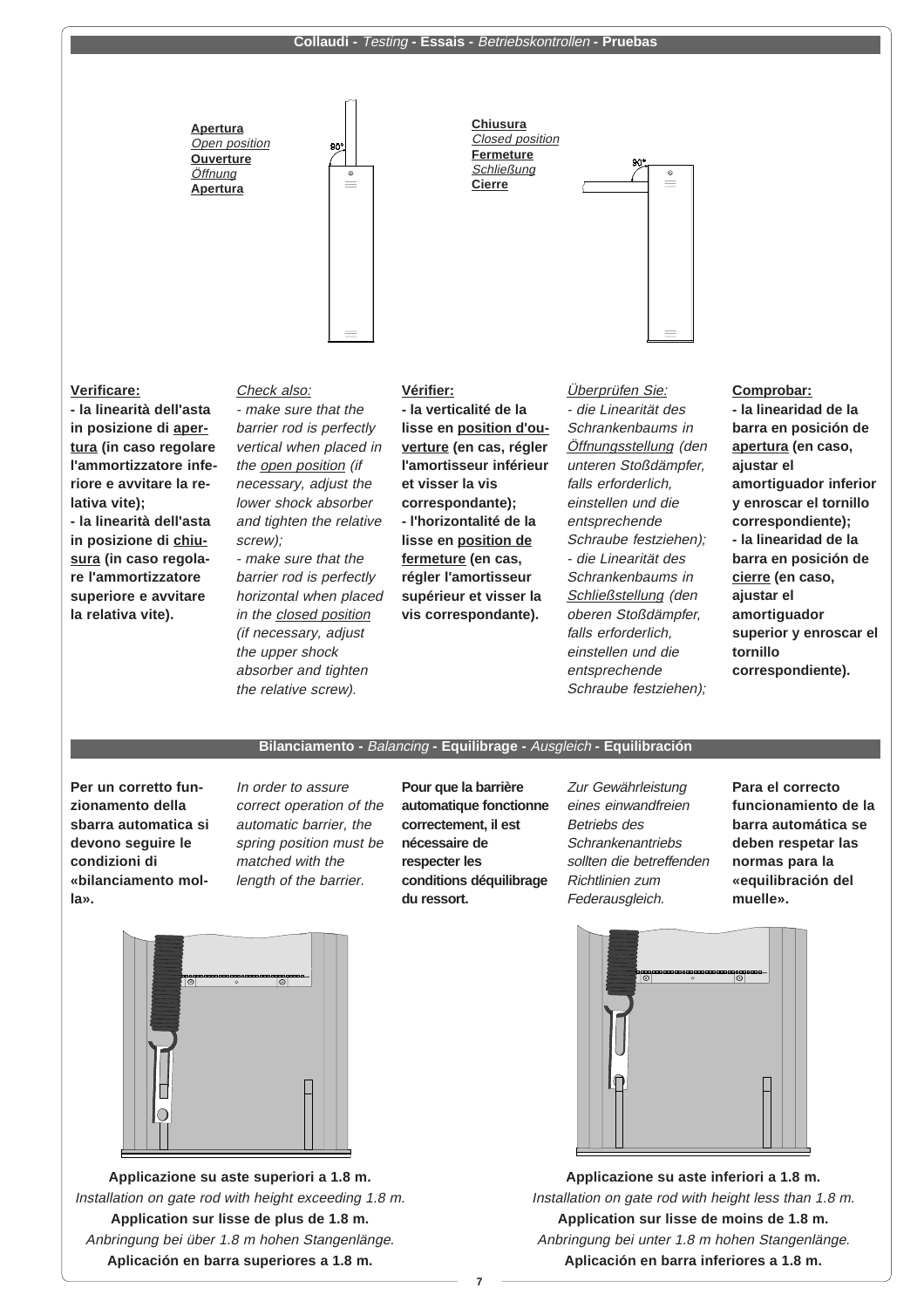#### **Collaudi -** Testing **- Essais -** Betriebskontrollen **- Pruebas**



### **Verificare:**

**- la linearità dell'asta in posizione di apertura (in caso regolare l'ammortizzatore inferiore e avvitare la relativa vite);**

**- la linearità dell'asta in posizione di chiusura (in caso regolare l'ammortizzatore superiore e avvitare la relativa vite).**

Check also: - make sure that the barrier rod is perfectly vertical when placed in the open position (if necessary, adjust the lower shock absorber and tighten the relative screw);

- make sure that the barrier rod is perfectly horizontal when placed in the closed position (if necessary, adjust the upper shock absorber and tighten the relative screw).

#### **Vérifier:**

**- la verticalité de la lisse en position d'ouverture (en cas, régler l'amortisseur inférieur et visser la vis correspondante); - l'horizontalité de la lisse en position de fermeture (en cas, régler l'amortisseur supérieur et visser la vis correspondante).**

Überprüfen Sie: - die Linearität des Schrankenbaums in Öffnungsstellung (den unteren Stoßdämpfer, falls erforderlich, einstellen und die entsprechende Schraube festziehen); - die Linearität des Schrankenbaums in Schließstellung (den oberen Stoßdämpfer, falls erforderlich, einstellen und die entsprechende Schraube festziehen);

### **Comprobar:**

**- la linearidad de la barra en posición de apertura (en caso, ajustar el amortiguador inferior y enroscar el tornillo correspondiente); - la linearidad de la barra en posición de cierre (en caso, ajustar el amortiguador superior y enroscar el tornillo correspondiente).**

#### **Bilanciamento -** Balancing **- Equilibrage -** Ausgleich **- Equilibración**

**Per un corretto funzionamento della sbarra automatica si devono seguire le condizioni di «bilanciamento molla».**

In order to assure correct operation of the automatic barrier, the spring position must be matched with the length of the barrier.

**Pour que la barrière automatique fonctionne correctement, il est nécessaire de respecter les conditions déquilibrage du ressort.**

Zur Gewährleistung eines einwandfreien Betriebs des **Schrankenantriebs** sollten die betreffenden Richtlinien zum Federausgleich.

**Para el correcto funcionamiento de la barra automática se deben respetar las normas para la «equilibración del muelle».**



**Applicazione su aste superiori a 1.8 m.** Installation on gate rod with height exceeding 1.8 m. **Application sur lisse de plus de 1.8 m.** Anbringung bei über 1.8 m hohen Stangenlänge. **Aplicación en barra superiores a 1.8 m.**



**Applicazione su aste inferiori a 1.8 m.** Installation on gate rod with height less than 1.8 m. **Application sur lisse de moins de 1.8 m.** Anbringung bei unter 1.8 m hohen Stangenlänge. **Aplicación en barra inferiores a 1.8 m.**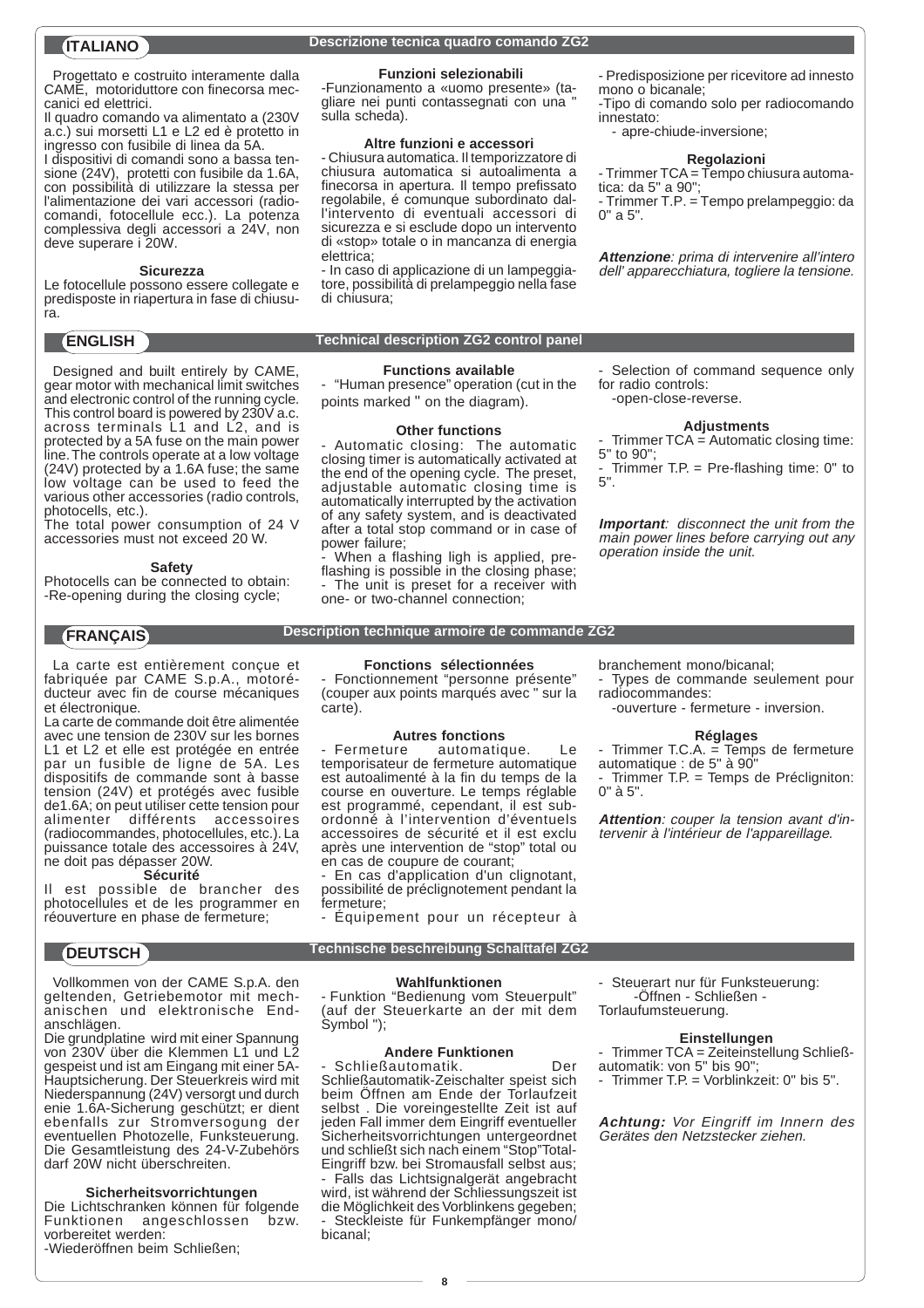Progettato e costruito interamente dalla CAME, motoriduttore con finecorsa meccanici ed elettrici.

Il quadro comando va alimentato a (230V a.c.) sui morsetti L1 e L2 ed è protetto in ingresso con fusibile di linea da 5A.

I dispositivi di comandi sono a bassa tensione (24V), protetti con fusibile da 1.6A, con possibilità di utilizzare la stessa per l'alimentazione dei vari accessori (radiocomandi, fotocellule ecc.). La potenza complessiva degli accessori a 24V, non deve superare i 20W.

#### **Sicurezza**

Le fotocellule possono essere collegate e predisposte in riapertura in fase di chiusura.

Designed and built entirely by CAME, gear motor with mechanical limit switches and electronic control of the running cycle. This control board is powered by 230V a.c. across terminals L1 and L2, and is protected by a 5A fuse on the main power line. The controls operate at a low voltage (24V) protected by a 1.6A fuse; the same low voltage can be used to feed the various other accessories (radio controls, photocells, etc.).

The total power consumption of 24 V accessories must not exceed 20 W.

#### **Safety**

Photocells can be connected to obtain: -Re-opening during the closing cycle;

La carte est entièrement conçue et fabriquée par CAME S.p.A., motoréducteur avec fin de course mécaniques et électronique.

La carte de commande doit être alimentée avec une tension de 230V sur les bornes L1 et L2 et elle est protégée en entrée par un fusible de ligne de 5A. Les dispositifs de commande sont à basse tension (24V) et protégés avec fusible de1.6A; on peut utiliser cette tension pour alimenter différents accessoires (radiocommandes, photocellules, etc.). La puissance totale des accessoires à 24V, ne doit pas dépasser 20W.

#### **Sécurité**

Il est possible de brancher des photocellules et de les programmer en réouverture en phase de fermeture;

Vollkommen von der CAME S.p.A. den geltenden, Getriebemotor mit mechanischen und elektronische Endanschlägen.

Die grundplatine wird mit einer Spannung von 230V über die Klemmen L1 und L2 gespeist und ist am Eingang mit einer 5A-Hauptsicherung. Der Steuerkreis wird mit Niederspannung (24V) versorgt und durch enie 1.6A-Sicherung geschützt; er dient ebenfalls zur Stromversogung der eventuellen Photozelle, Funksteuerung. Die Gesamtleistung des 24-V-Zubehörs darf 20W nicht überschreiten.

#### **Sicherheitsvorrichtungen**

Die Lichtschranken können für folgende<br>Eunktionen angeschlossen bzw Funktionen angeschlossen vorbereitet werden: -Wiederöffnen beim Schließen;

### **Descrizione tecnica quadro comando ZG2 ITALIANO**

#### **Funzioni selezionabili**

-Funzionamento a «uomo presente» (tagliare nei punti contassegnati con una sulla scheda).

#### **Altre funzioni e accessori**

- Chiusura automatica. Il temporizzatore di chiusura automatica si autoalimenta a finecorsa in apertura. Il tempo prefissato regolabile, é comunque subordinato dall'intervento di eventuali accessori di sicurezza e si esclude dopo un intervento di «stop» totale o in mancanza di energia elettrica;

- In caso di applicazione di un lampeggiatore, possibilità di prelampeggio nella fase di chiusura;

### **ENGLISH Technical description ZG2 control panel**

#### **Functions available**

- "Human presence" operation (cut in the points marked " on the diagram).

#### **Other functions**

- Automatic closing: The automatic closing timer is automatically activated at the end of the opening cycle. The preset, adjustable automatic closing time is automatically interrupted by the activation of any safety system, and is deactivated after a total stop command or in case of power failure;

When a flashing ligh is applied, preflashing is possible in the closing phase: The unit is preset for a receiver with one- or two-channel connection;

for radio controls: -open-close-reverse.

#### **Adjustments**

Trimmer TCA = Automatic closing time: 5" to 90";

- Trimmer T.P. = Pre-flashing time: 0" to 5".

**Important**: disconnect the unit from the main power lines before carrying out any operation inside the unit.

### **FRANÇAIS Description technique armoire de commande ZG2**

**Fonctions sélectionnées** Fonctionnement "personne présente" (couper aux points marqués avec " sur la carte).

#### **Autres fonctions**

Fermeture automatique. Le temporisateur de fermeture automatique est autoalimenté à la fin du temps de la course en ouverture. Le temps réglable est programmé, cependant, il est subordonné à l'intervention d'éventuels accessoires de sécurité et il est exclu après une intervention de "stop" total ou en cas de coupure de courant;

En cas d'application d'un clignotant, possibilité de préclignotement pendant la fermeture;

- Équipement pour un récepteur à

branchement mono/bicanal; - Types de commande seulement pour

- radiocommandes:
	- -ouverture fermeture inversion.

#### **Réglages**

- Trimmer T.C.A. = Temps de fermeture automatique : de 5" à 90" - Trimmer T.P. = Temps de Précligniton:
- 0" à 5".

**Attention**: couper la tension avant d'intervenir à l'intérieur de l'appareillage.

# **DEUTSCH Technische beschreibung Schalttafel ZG2**

#### **Wahlfunktionen**

- Funktion "Bedienung vom Steuerpult" (auf der Steuerkarte an der mit dem Symbol ");

### **Andere Funktionen**

Schließautomatik. Der Schließautomatik-Zeischalter speist sich beim Öffnen am Ende der Torlaufzeit selbst . Die voreingestellte Zeit ist auf jeden Fall immer dem Eingriff eventueller Sicherheitsvorrichtungen untergeordnet und schließt sich nach einem "Stop"Total-Eingriff bzw. bei Stromausfall selbst aus; Falls das Lichtsignalgerät angebracht wird, ist während der Schliessungszeit ist die Möglichkeit des Vorblinkens gegeben; Steckleiste für Funkempfänger mono/ bicanal;

- Steuerart nur für Funksteuerung: -Öffnen - Schließen -

Torlaufumsteuerung.

#### **Einstellungen**

- Trimmer TCA = Zeiteinstellung Schließ-
- automatik: von 5" bis 90";
- Trimmer T.P. = Vorblinkzeit: 0" bis 5".

**Achtung:** Vor Eingriff im Innern des Gerätes den Netzstecker ziehen.

**8**

- Selection of command sequence only

- Predisposizione per ricevitore ad innesto

-Tipo di comando solo per radiocomando

**Regolazioni** - Trimmer TCA = Tempo chiusura automa-

- Trimmer T.P. = Tempo prelampeggio: da

**Attenzione**: prima di intervenire all'intero dell' apparecchiatura, togliere la tensione.

- apre-chiude-inversione;

mono o bicanale;

tica: da 5" a 90";

innestato:

0" a 5".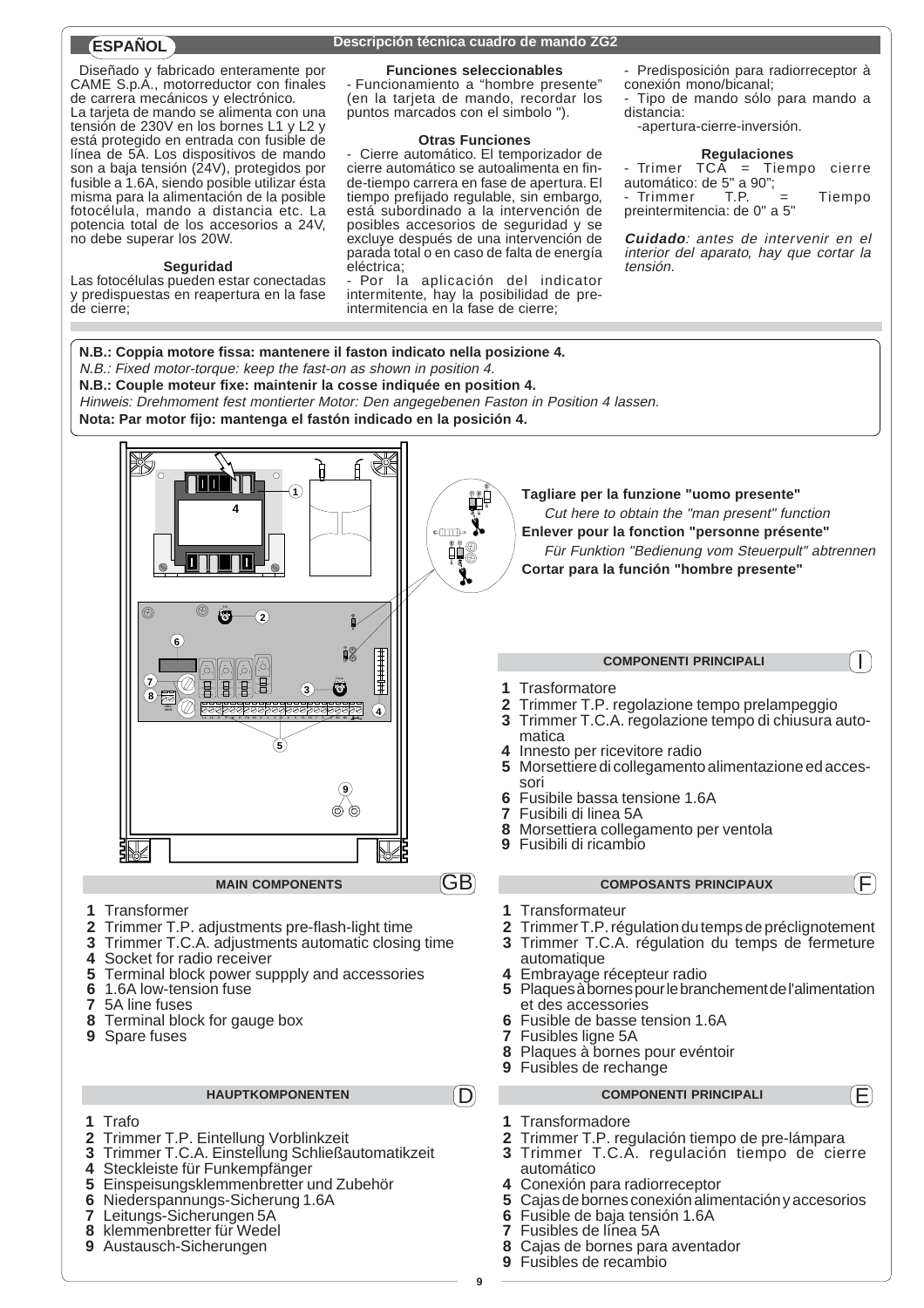Diseñado y fabricado enteramente por CAME S.p.A., motorreductor con finales de carrera mecánicos y electrónico. La tarjeta de mando se alimenta con una tensión de 230V en los bornes L1 y L2 y está protegido en entrada con fusible de línea de 5A. Los dispositivos de mando son a baja tensión (24V), protegidos por fusible a 1.6A, siendo posible utilizar ésta misma para la alimentación de la posible fotocélula, mando a distancia etc. La potencia total de los accesorios a 24V, no debe superar los 20W.

#### **Seguridad**

Las fotocélulas pueden estar conectadas y predispuestas en reapertura en la fase de cierre;

## **Descripción técnica cuadro de mando ZG2 ESPAÑOL**

#### **Funciones seleccionables**

- Funcionamiento a "hombre presente" (en la tarjeta de mando, recordar los puntos marcados con el simbolo ").

#### **Otras Funciones**

- Cierre automático. El temporizador de cierre automático se autoalimenta en finde-tiempo carrera en fase de apertura. El tiempo prefijado regulable, sin embargo, está subordinado a la intervención de posibles accesorios de seguridad y se excluye después de una intervención de parada total o en caso de falta de energía eléctrica;

Por la aplicación del indicator intermitente, hay la posibilidad de preintermitencia en la fase de cierre;

- Predisposición para radiorreceptor à conexión mono/bicanal;

Tipo de mando sólo para mando a distancia:

-apertura-cierre-inversión.

**Regulaciones** - Trimer TCA = Tiempo cierre automático: de 5" a 90"; - Trimmer T.P. = Tiempo preintermitencia: de 0" a 5"

**Cuidado**: antes de intervenir en el interior del aparato, hay que cortar la tensión.

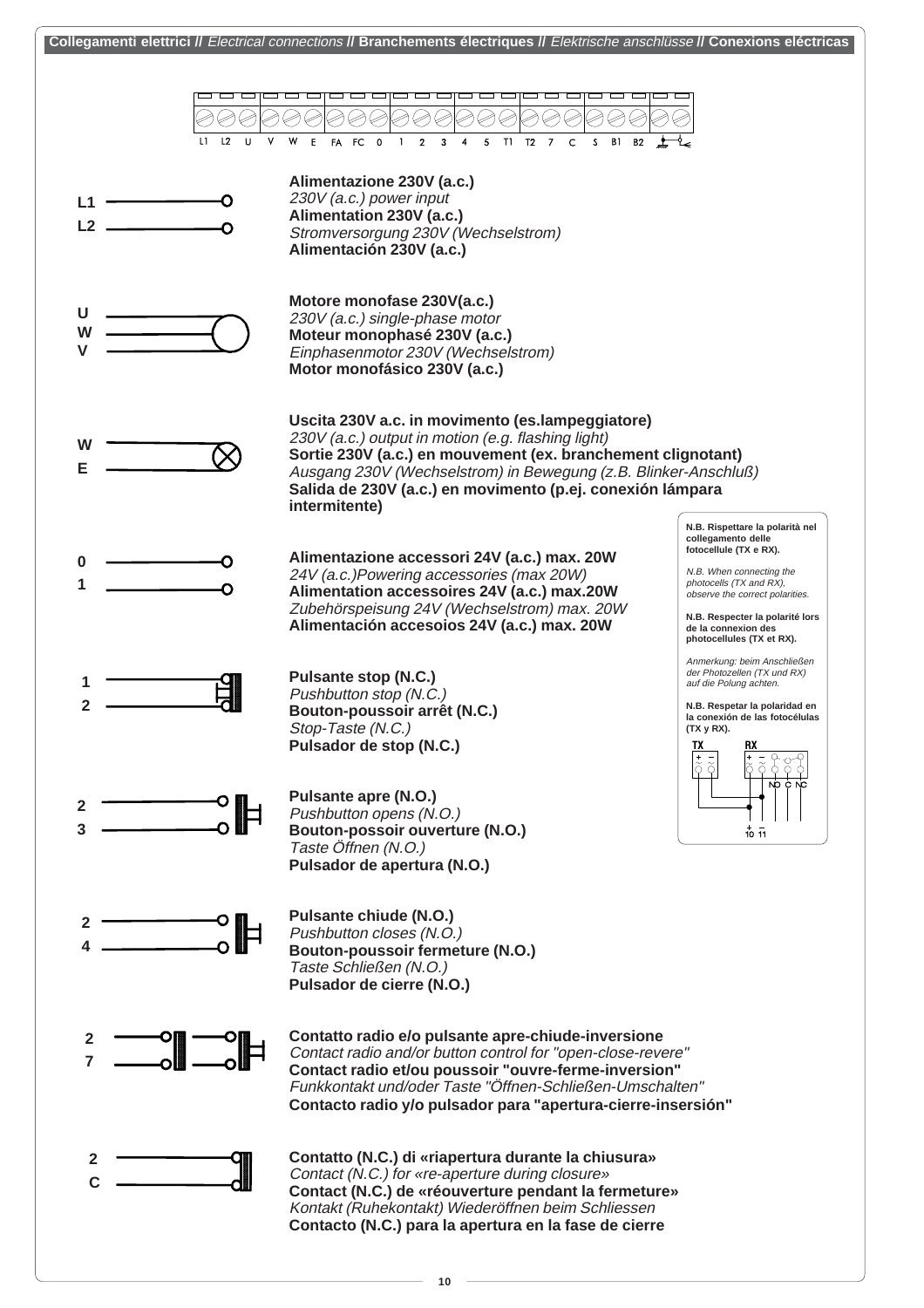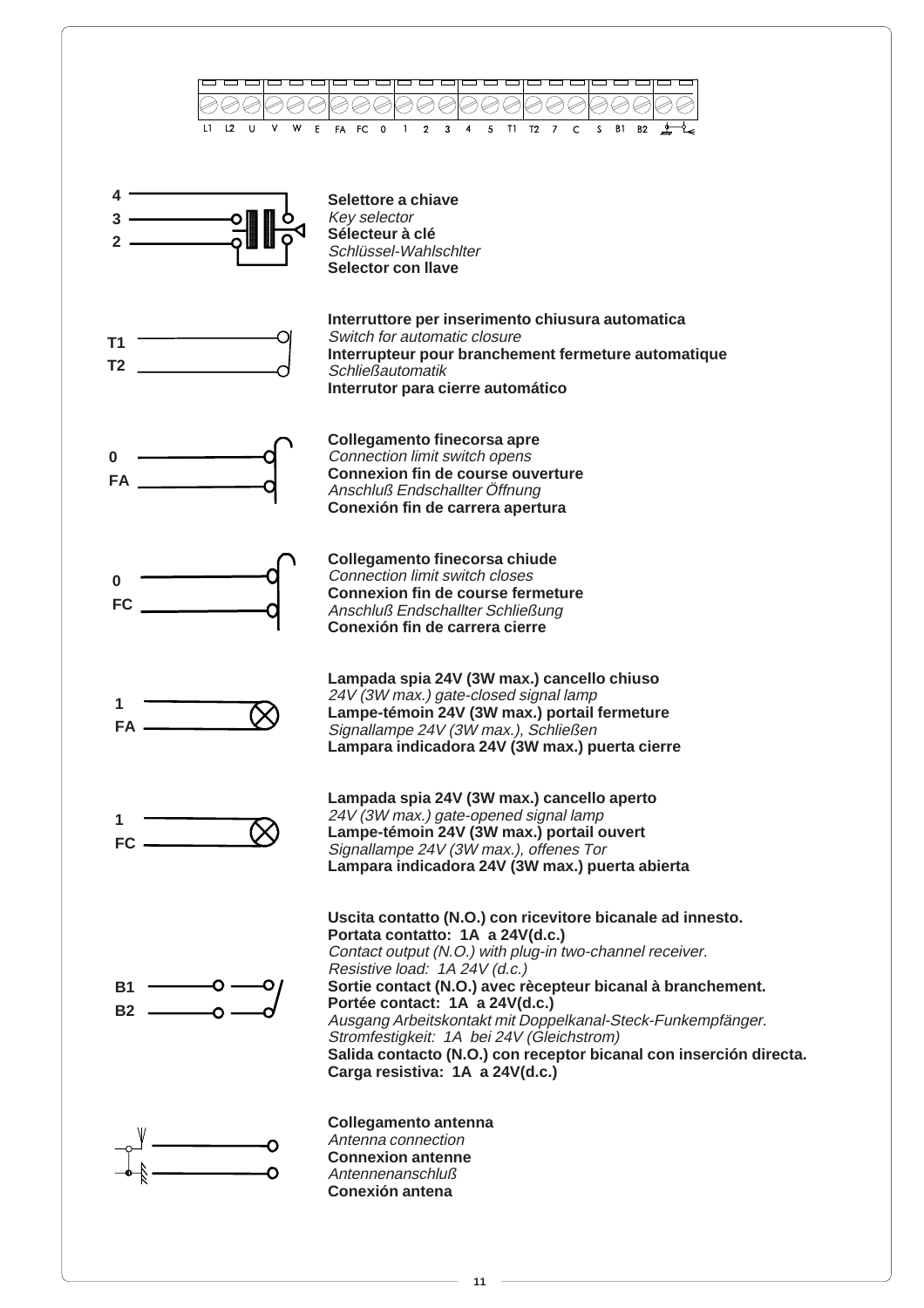